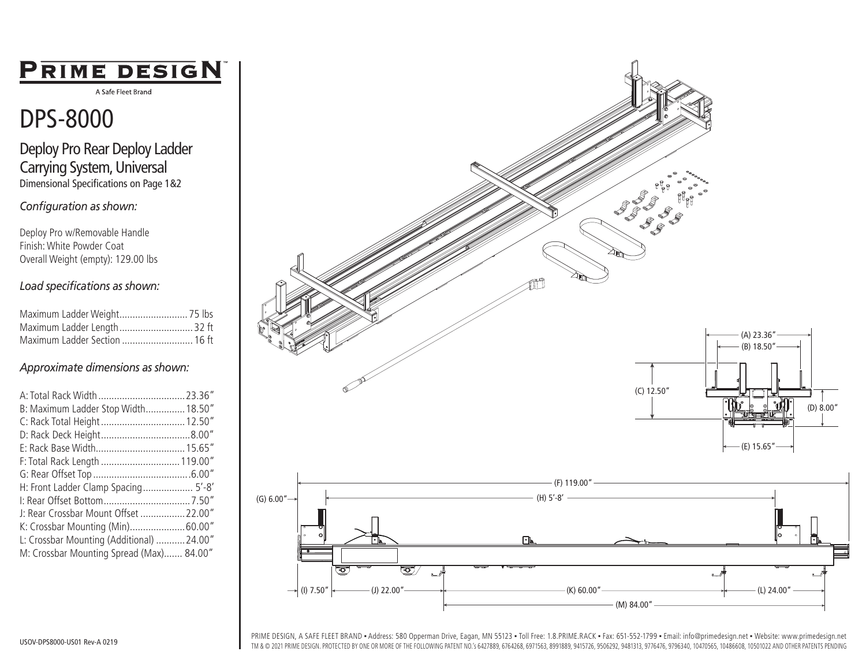## PRIME DESIGN

A Safe Fleet Brand

## DPS-8000

Deploy Pro Rear Deploy Ladder Carrying System, Universal Dimensional Specifications on Page 1&2

*Configuration as shown:*

Deploy Pro w/Removable Handle Finish: White Powder Coat Overall Weight (empty): 129.00 lbs

## *Load specifications as shown:*

| Maximum Ladder Length 32 ft   |
|-------------------------------|
| Maximum Ladder Section  16 ft |

## *Approximate dimensions as shown:*

| A: Total Rack Width  23.36"              |  |
|------------------------------------------|--|
| B: Maximum Ladder Stop Width 18.50"      |  |
| C: Rack Total Height  12.50"             |  |
|                                          |  |
|                                          |  |
| F: Total Rack Length  119.00"            |  |
|                                          |  |
| H: Front Ladder Clamp Spacing 5'-8'      |  |
|                                          |  |
| J: Rear Crossbar Mount Offset  22.00"    |  |
| K: Crossbar Mounting (Min)60.00"         |  |
| L: Crossbar Mounting (Additional) 24.00" |  |
| M: Crossbar Mounting Spread (Max) 84.00" |  |



PRIME DESIGN, A SAFE FLEET BRAND • Address: 580 Opperman Drive, Eagan, MN 55123 • Toll Free: 1.8.PRIME.RACK • Fax: 651-552-1799 • Email: info@primedesign.net • Website: www.primedesign.net TM & © 2021 PRIME DESIGN. PROTECTED BY ONE OR MORE OF THE FOLLOWING PATENT NO.'s 6427889, 6764268, 6971563, 8991889, 9415726, 9506292, 9481313, 9776476, 9796340, 10470565, 10486608, 10501022 AND OTHER PATENTS PENDING